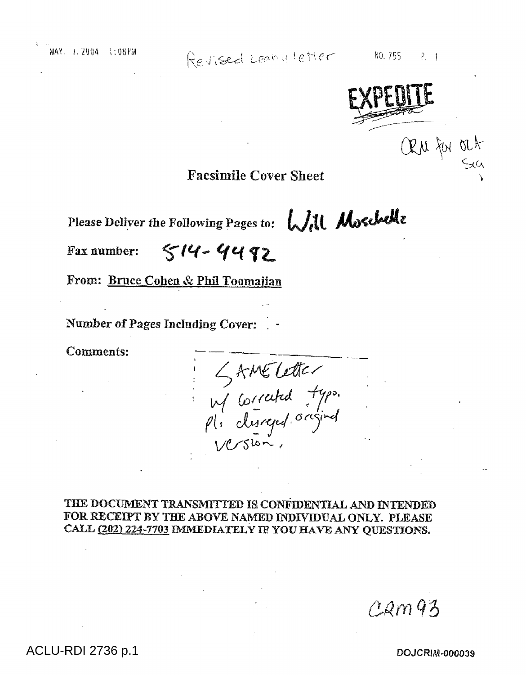Revised Leany letter

 $NO.755$  $P_{1}$  1



## **Facsimile Cover Sheet**

Please Deliver the Following Pages to: Will Moschelle

 $514 - 4492$ Fax number:

From: Bruce Cohen & Phil Toomajian

Number of Pages Including Cover:

**Comments:** 

KAMELetter<br>W Corrated typo.<br>Pl. dusreged. original<br>Version.

THE DOCUMENT TRANSMITTED IS CONFIDENTIAL AND INTENDED FOR RECEIPT BY THE ABOVE NAMED INDIVIDUAL ONLY. PLEASE CALL (202) 224-7703 IMMEDIATELY IF YOU HAVE ANY QUESTIONS.

 $22m93$ 

## ACLU-RDI 2736 p.1

DOJCRIM-000039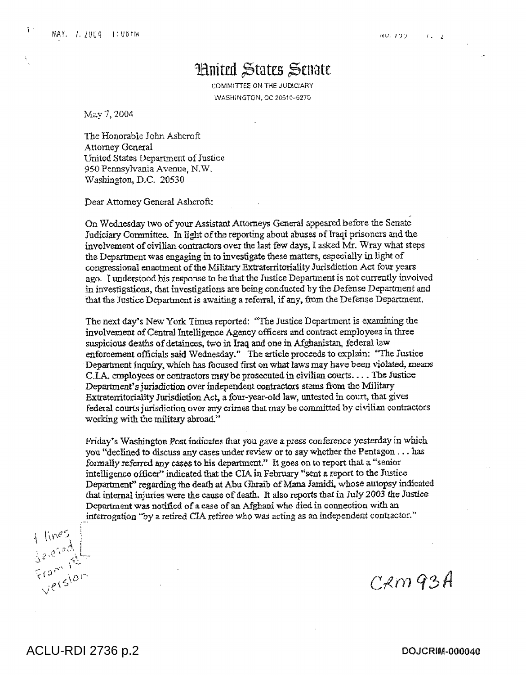$\bar{v}$ 

## Huited States Senate

COMMITTEE ON THE JUDICARY WASHINGTON, DC 20510-6275

May 7, 2004

The Honorable John Ashcroft Attorney General United States Department of Justice 950 Pennsylvania Avenue, N.W. Washington, D.C. 20530

Dear Attorney General Ashcroft:

On Wednesday two of your Assistant Attorneys General appeared before the Senate Judiciary Committee. In light of the reporting about abuses of Iraqi prisoners and the involvement of civilian contractors over the last few days, I asked Mr. Wray what steps the Department was engaging in to investigate these matters, especially in light of congressional enactment of the Military Extraterritoriality Jurisdiction Act four years ago. I understood his response to be that the Justice Department is not currently involved in investigations, that investigations are being conducted by the Defense Department and that the Justice Department is awaiting a referral, if any, from the Defense Department.

The next day's New York Times reported: "The Justice Department is examining the involvement of Central Intelligence Agency officers and contract employees in three suspicious deaths of detainees, two in Iraq and one in Afghanistan, federal law enforcement officials said Wednesday." The article proceeds to explain: "The Justice Department inquiry, which has focused first on what laws may have been violated, means CIA. employees or contractors may be prosecuted in civilian courts... The Justice Department's jurisdiction over independent contractors stems from the Military Extraterritoriality Jurisdiction Act, a four-year-old law, untested in court, that gives federal courts jurisdiction over any crimes that may be committed by civilian contractors working with the military abroad."

Friday's Washington Post indicates that you gave a press conference yesterday in which you "declined to discuss any cases under review or to say whether the Pentagon ... has *formally* referred any cases to his department." It goes on to report that a "senior intelligence officer" indicated that the CIA in February "sent a report to the Justice Department" regarding the death at Abu Gbraib of Mana Jamidi, whose autopsy indicated that internal injuries were the cause of death. It also reports that in July2003 the Justice Department was notified of a case of an Afghani who died in connection with an

interrogation "by a retired CIA retiree who was acting as an independent contractor."<br>  $\frac{1}{3}e^{i\theta}$ <br>  $\frac{1}{3}e^{i\theta}$ <br>  $\frac{1}{3}e^{i\theta}$ <br>  $\frac{1}{3}e^{i\theta}$ <br>  $\frac{1}{3}e^{i\theta}$ 

 $C$ *R*m  $93A$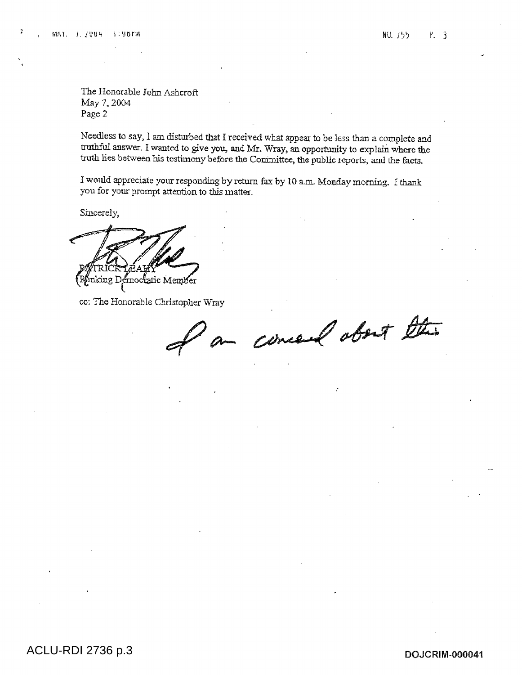The Honorable John Ashcroft May 7, 2004 Page 2

Needless to say, I am disturbed that I received what appear to be less than a complete and truthful answer. I wanted to give you, and Mr. Wray, an opportunity to explain where the truth lies between his testimony before the Committee, the public reports, and the facts.

I would appreciate your responding by return fax by 10 a.m. Monday morning. I thank you for your prompt attention to this matter.

Sincerely,

1611g Democratic Member

cc: The Honorable Christopher Wray

concert about this ,42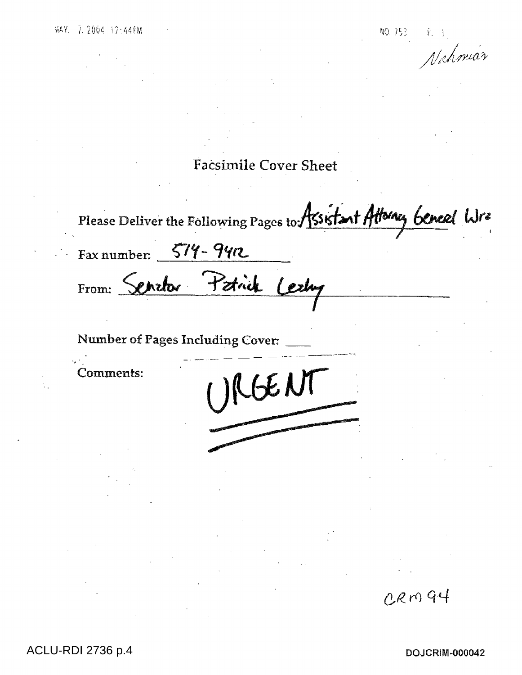Nahmiar

**Facsimile Cover Sheet** 

Please Deliver the Following Pages to Assistant Attorney beneal Wra

Cerby

**FNI** 

Fax number:  $579 - 99n$ 

From: Serator Patrick

Number of Pages Including Cover:

Comments:

**ACLU-RDI 2736 p.4** 

**DOJCRIM-000042** 

CRM94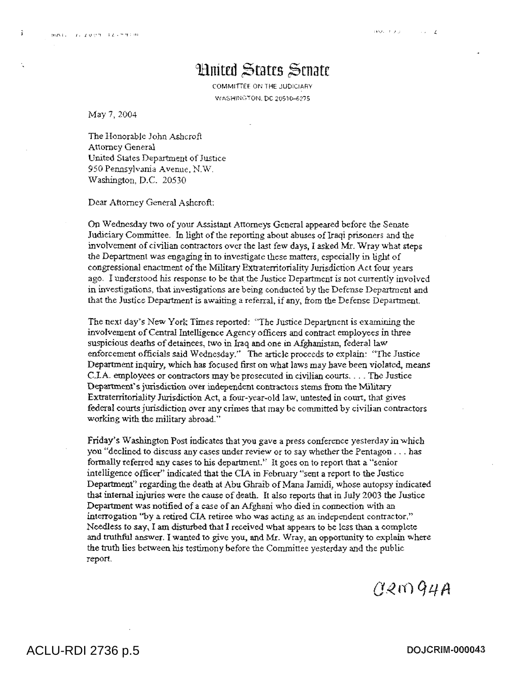$\cdot$ 

## **Huited States Senate**

COMMITTEE ON THE JUDICIARY WASHINGTON, DC 20510-6275

May 7, 2004

The Honorable John Ashcroft Attorney General United Stales Department of Justice 950 Pennsylvania Avenue, N.W. Washington, D.C. 20530

Dear Attorney General Ashcroft:

On Wednesday two of your Assistant Attorneys General appeared before the Senate Judiciary Committee. In light of the reporting about abuses of Iraqi prisoners and the involvement of civilian contractors over the last few days, I asked Mr. Wray what steps the Department was engaging in to investigate these matters, especially in light of congressional enactment of the Military Extraterritoriality Jurisdiction Act four years ago. I understood his response to be that the Justice Department is not currently involved in investigations, that investigations are being conducted by the Defense Department and that the Justice Department is awaiting a referral, if any, from the Defense Department.

The next day's New York Times reported: "The Justice Department is examining the involvement of Central Intelligence Agency officers and contract employees in three suspicious deaths of detainees, two in Iraq and one in Afghanistan, federal law enforcement officials said Wednesday." The article proceeds to explain: "The Justice Department inquiry, which has focused first on what laws may have been violated, means C.I.A. employees or contractors may be prosecuted in civilian courts. . The Justice Department's jurisdiction over independent contractors stems from the Military Extraterritoriality Jurisdiction Act, a four-year-old law, untested in court, that gives federal courts jurisdiction over any crimes that may be committed by civilian contractors working with the military abroad."

Friday's Washington Post indicates that you gave a press conference yesterday in which you "declined to discuss any cases under review or to say whether the Pentagon . . . has formally referred any cases to his department." It goes on to report that a "senior intelligence officer" indicated that the CIA in February "sent a report to the Justice Department" regarding the death at Abu Ghraib of Mana Jamidi, whose autopsy indicated that internal injuries were the cause of death. It also reports that in July 2003 the Justice Department was notified of a case of an Afghani who died in connection with an interrogation "by a retired CIA retiree who was acting as an independent contractor," Needless to say, I am disturbed that I received what appears to be less than a complete and truthful answer. I wanted to give you, and Mr. Wray, an opportunity to explain where the truth lies between his testimony before the Committee yesterday and the public report.

 $(120)$ 94A

ACLU-RDI 2736 p.5 **DOJCRIM-000043**